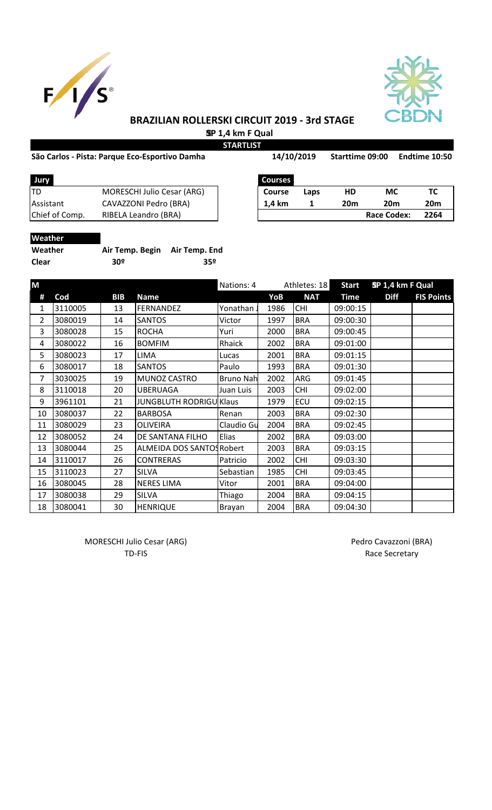



# **BRAZILIAN ROLLERSKI CIRCUIT 2019 - 3rd STAGE SP 1,4 km F Qual**

#### São Carlos - Pista: Parque Eco-Esportivo Damha 14/10/2019 Starttime 09:00 Endtime 10:50

**STARTLIST**

| -------- |            |
|----------|------------|
|          | 14/10/2019 |

| <b>Jury</b>      |                                   | <b>Courses</b> |      |     |             |      |
|------------------|-----------------------------------|----------------|------|-----|-------------|------|
| ltd              | <b>MORESCHI Julio Cesar (ARG)</b> | <b>Course</b>  | Laps | HD  | МC          |      |
| <b>Assistant</b> | CAVAZZONI Pedro (BRA)             | 1.4 km         |      | 20m | 20m         | 20m  |
| Chief of Comp.   | RIBELA Leandro (BRA)              |                |      |     | Race Codex: | 2264 |
|                  |                                   |                |      |     |             |      |

| <b>Courses</b> |      |     |                    |                 |
|----------------|------|-----|--------------------|-----------------|
| <b>Course</b>  | Laps | HD  | МC                 | тс              |
| 1,4 km         |      | 20m | 20m                | 20 <sub>m</sub> |
|                |      |     | <b>Race Codex:</b> | 2264            |

# **Weather**

| Weather | Air Temp. Begin Air Temp. End |     |
|---------|-------------------------------|-----|
| Clear   | 30 <sup>o</sup>               | 359 |

| M  |         |            |                                | Nations: 4       | Athletes: 18 |            | <b>Start</b> | SP 1,4 km F Qual |                   |
|----|---------|------------|--------------------------------|------------------|--------------|------------|--------------|------------------|-------------------|
| #  | Cod     | <b>BIB</b> | <b>Name</b>                    |                  | YoB          | <b>NAT</b> | <b>Time</b>  | <b>Diff</b>      | <b>FIS Points</b> |
| 1  | 3110005 | 13         | <b>FERNANDEZ</b>               | Yonathan.        | 1986         | <b>CHI</b> | 09:00:15     |                  |                   |
| 2  | 3080019 | 14         | <b>SANTOS</b>                  | Victor           | 1997         | <b>BRA</b> | 09:00:30     |                  |                   |
| 3  | 3080028 | 15         | <b>ROCHA</b>                   | Yuri             | 2000         | <b>BRA</b> | 09:00:45     |                  |                   |
| 4  | 3080022 | 16         | <b>BOMFIM</b>                  | Rhaick           | 2002         | <b>BRA</b> | 09:01:00     |                  |                   |
| 5  | 3080023 | 17         | <b>LIMA</b>                    | Lucas            | 2001         | <b>BRA</b> | 09:01:15     |                  |                   |
| 6  | 3080017 | 18         | <b>SANTOS</b>                  | Paulo            | 1993         | <b>BRA</b> | 09:01:30     |                  |                   |
| 7  | 3030025 | 19         | MUNOZ CASTRO                   | <b>Bruno Nah</b> | 2002         | ARG        | 09:01:45     |                  |                   |
| 8  | 3110018 | 20         | <b>UBERUAGA</b>                | Juan Luis        | 2003         | <b>CHI</b> | 09:02:00     |                  |                   |
| 9  | 3961101 | 21         | <b>JUNGBLUTH RODRIGU Klaus</b> |                  | 1979         | ECU        | 09:02:15     |                  |                   |
| 10 | 3080037 | 22         | <b>BARBOSA</b>                 | Renan            | 2003         | <b>BRA</b> | 09:02:30     |                  |                   |
| 11 | 3080029 | 23         | <b>OLIVEIRA</b>                | Claudio Gu       | 2004         | <b>BRA</b> | 09:02:45     |                  |                   |
| 12 | 3080052 | 24         | DE SANTANA FILHO               | Elias            | 2002         | <b>BRA</b> | 09:03:00     |                  |                   |
| 13 | 3080044 | 25         | ALMEIDA DOS SANTOS Robert      |                  | 2003         | <b>BRA</b> | 09:03:15     |                  |                   |
| 14 | 3110017 | 26         | <b>CONTRERAS</b>               | Patricio         | 2002         | <b>CHI</b> | 09:03:30     |                  |                   |
| 15 | 3110023 | 27         | <b>SILVA</b>                   | Sebastian        | 1985         | <b>CHI</b> | 09:03:45     |                  |                   |
| 16 | 3080045 | 28         | <b>NERES LIMA</b>              | Vitor            | 2001         | <b>BRA</b> | 09:04:00     |                  |                   |
| 17 | 3080038 | 29         | <b>SILVA</b>                   | Thiago           | 2004         | <b>BRA</b> | 09:04:15     |                  |                   |
| 18 | 3080041 | 30         | <b>HENRIQUE</b>                | Brayan           | 2004         | <b>BRA</b> | 09:04:30     |                  |                   |

MORESCHI Julio Cesar (ARG) and a material control of the Pedro Cavazzoni (BRA)

TD-FIS Race Secretary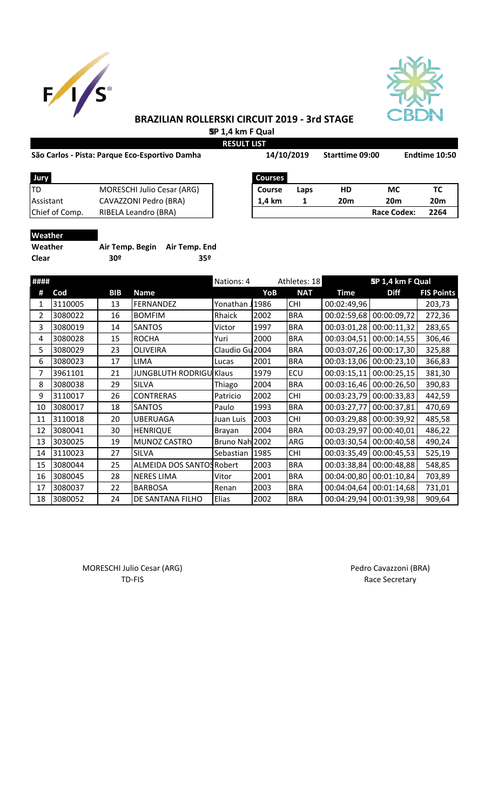



# **BRAZILIAN ROLLERSKI CIRCUIT 2019 - 3rd STAGE SP 1,4 km F Qual**

**RESULT LIST**

#### São Carlos - Pista: Parque Eco-Esportivo Damha **Santing 14/10/2019** Starttime 09:00 Endtime 10:50

| São Carlos - Pista: Parque Eco-Esportivo Damha |                                   |                | 14/10/2019 |            | Starttime 09:00    | Endtime 10:50   |
|------------------------------------------------|-----------------------------------|----------------|------------|------------|--------------------|-----------------|
| Jury                                           |                                   | <b>Courses</b> |            |            |                    |                 |
| TD                                             | <b>MORESCHI Julio Cesar (ARG)</b> | <b>Course</b>  | Laps       | HD         | МC                 | тс              |
| Assistant                                      | CAVAZZONI Pedro (BRA)             | 1.4 km         |            | <b>20m</b> | 20 <sub>m</sub>    | 20 <sub>m</sub> |
| Chief of Comp.                                 | RIBELA Leandro (BRA)              |                |            |            | <b>Race Codex:</b> | 2264            |
|                                                |                                   |                |            |            |                    |                 |

| Weather |           |
|---------|-----------|
| Weather | Air Temp. |

| Weather      | Air Temp. Begin Air Temp. End |     |
|--------------|-------------------------------|-----|
| <b>Clear</b> | 30º                           | 35º |

| ####           |         |            |                                | Nations: 4      |      | Athletes: 18 | SP 1,4 km F Qual |             |                   |
|----------------|---------|------------|--------------------------------|-----------------|------|--------------|------------------|-------------|-------------------|
| #              | Cod     | <b>BIB</b> | <b>Name</b>                    |                 | YoB  | <b>NAT</b>   | <b>Time</b>      | <b>Diff</b> | <b>FIS Points</b> |
| 1              | 3110005 | 13         | FERNANDEZ                      | Yonathan        | 1986 | <b>CHI</b>   | 00:02:49,96      |             | 203,73            |
| $\overline{2}$ | 3080022 | 16         | <b>BOMFIM</b>                  | Rhaick          | 2002 | <b>BRA</b>   | 00:02:59,68      | 00:00:09,72 | 272,36            |
| 3              | 3080019 | 14         | <b>SANTOS</b>                  | Victor          | 1997 | <b>BRA</b>   | 00:03:01,28      | 00:00:11,32 | 283,65            |
| 4              | 3080028 | 15         | <b>ROCHA</b>                   | Yuri            | 2000 | <b>BRA</b>   | 00:03:04,51      | 00:00:14,55 | 306,46            |
| 5              | 3080029 | 23         | <b>OLIVEIRA</b>                | Claudio Gu 2004 |      | <b>BRA</b>   | 00:03:07,26      | 00:00:17,30 | 325,88            |
| 6              | 3080023 | 17         | <b>LIMA</b>                    | Lucas           | 2001 | <b>BRA</b>   | 00:03:13,06      | 00:00:23,10 | 366,83            |
| 7              | 3961101 | 21         | <b>JUNGBLUTH RODRIGU Klaus</b> |                 | 1979 | ECU          | 00:03:15,11      | 00:00:25,15 | 381,30            |
| 8              | 3080038 | 29         | <b>SILVA</b>                   | Thiago          | 2004 | <b>BRA</b>   | 00:03:16,46      | 00:00:26,50 | 390,83            |
| 9              | 3110017 | 26         | <b>CONTRERAS</b>               | Patricio        | 2002 | <b>CHI</b>   | 00:03:23,79      | 00:00:33,83 | 442,59            |
| 10             | 3080017 | 18         | <b>SANTOS</b>                  | Paulo           | 1993 | <b>BRA</b>   | 00:03:27,77      | 00:00:37,81 | 470,69            |
| 11             | 3110018 | 20         | <b>UBERUAGA</b>                | Juan Luis       | 2003 | <b>CHI</b>   | 00:03:29,88      | 00:00:39,92 | 485,58            |
| 12             | 3080041 | 30         | <b>HENRIQUE</b>                | Brayan          | 2004 | <b>BRA</b>   | 00:03:29,97      | 00:00:40,01 | 486,22            |
| 13             | 3030025 | 19         | MUNOZ CASTRO                   | Bruno Nah 2002  |      | ARG          | 00:03:30,54      | 00:00:40,58 | 490,24            |
| 14             | 3110023 | 27         | <b>SILVA</b>                   | Sebastian       | 1985 | <b>CHI</b>   | 00:03:35,49      | 00:00:45,53 | 525,19            |
| 15             | 3080044 | 25         | ALMEIDA DOS SANTOS Robert      |                 | 2003 | <b>BRA</b>   | 00:03:38,84      | 00:00:48,88 | 548,85            |
| 16             | 3080045 | 28         | <b>NERES LIMA</b>              | Vitor           | 2001 | <b>BRA</b>   | 00:04:00,80      | 00:01:10,84 | 703,89            |
| 17             | 3080037 | 22         | <b>BARBOSA</b>                 | Renan           | 2003 | <b>BRA</b>   | 00:04:04,64      | 00:01:14,68 | 731,01            |
| 18             | 3080052 | 24         | DE SANTANA FILHO               | Elias           | 2002 | <b>BRA</b>   | 00:04:29,94      | 00:01:39,98 | 909,64            |

MORESCHI Julio Cesar (ARG) MORESCHI Julio Cesar (ARG)

TD-FIS Race Secretary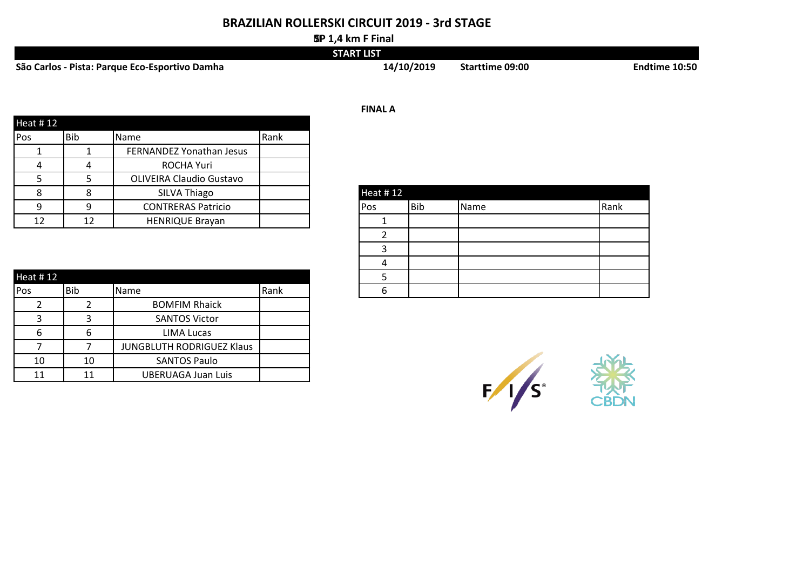# **BRAZILIAN ROLLERSKI CIRCUIT 2019 - 3rd STAGE**

#### **SP 1,4 km F Final**

|                                                | <b>START LIST</b> |                 |               |
|------------------------------------------------|-------------------|-----------------|---------------|
| São Carlos - Pista: Parque Eco-Esportivo Damha | 14/10/2019        | Starttime 09:00 | Endtime 10:50 |

| Heat #12   |            |                                 |      |
|------------|------------|---------------------------------|------|
| <b>Pos</b> | <b>Bib</b> | <b>Name</b>                     | Rank |
|            |            | FERNANDEZ Yonathan Jesus        |      |
|            |            | ROCHA Yuri                      |      |
|            |            | <b>OLIVEIRA Claudio Gustavo</b> |      |
|            | 8          | SILVA Thiago                    |      |
| q          | 9          | <b>CONTRERAS Patricio</b>       |      |
| 12         | 12         | <b>HENRIQUE Brayan</b>          |      |

| Heat #12 |     |                           |      |   |  |
|----------|-----|---------------------------|------|---|--|
| Pos      | Bib | <b>Name</b>               | Rank | h |  |
|          |     | <b>BOMFIM Rhaick</b>      |      |   |  |
|          |     | <b>SANTOS Victor</b>      |      |   |  |
| ь        | b   | <b>LIMA Lucas</b>         |      |   |  |
|          |     | JUNGBLUTH RODRIGUEZ Klaus |      |   |  |
| 10       | 10  | <b>SANTOS Paulo</b>       |      |   |  |
| 11       | 11  | <b>UBERUAGA Juan Luis</b> |      |   |  |

| <b>Heat #12</b> |            |      |      |
|-----------------|------------|------|------|
| Pos             | <b>Bib</b> | Name | Rank |
|                 |            |      |      |
|                 |            |      |      |
|                 |            |      |      |
|                 |            |      |      |
|                 |            |      |      |
| հ               |            |      |      |

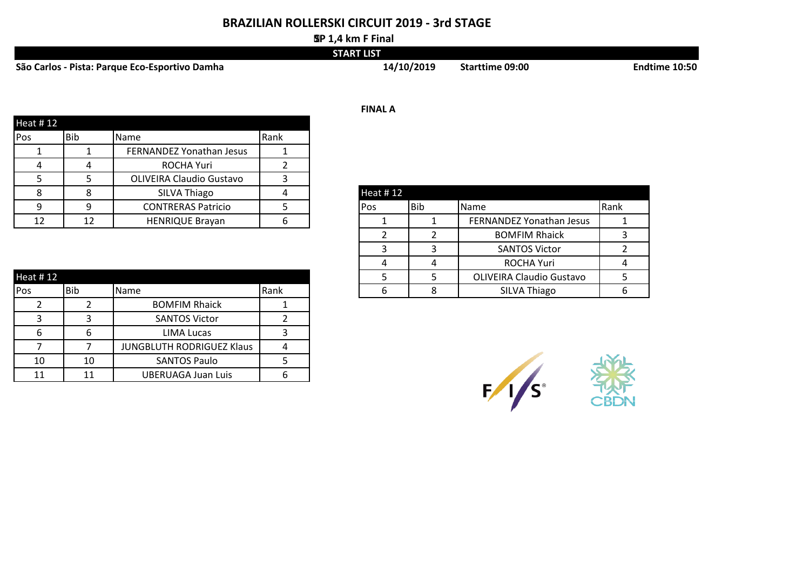# **BRAZILIAN ROLLERSKI CIRCUIT 2019 - 3rd STAGE**

#### **SP 1,4 km F Final**

|                                                | <b>START LIST</b> |                        |               |
|------------------------------------------------|-------------------|------------------------|---------------|
| São Carlos - Pista: Parque Eco-Esportivo Damha | 14/10/2019        | <b>Starttime 09:00</b> | Endtime 10:50 |

|            |            |                                 |      | <b>FINAL A</b>                     |
|------------|------------|---------------------------------|------|------------------------------------|
| Heat #12   |            |                                 |      |                                    |
| <b>Pos</b> | <b>Bib</b> | Name                            | Rank |                                    |
|            |            | FERNANDEZ Yonathan Jesus        |      |                                    |
|            | 4          | <b>ROCHA Yuri</b>               |      |                                    |
|            |            | <b>OLIVEIRA Claudio Gustavo</b> |      |                                    |
|            |            | SILVA Thiago                    |      | Heat #12                           |
|            |            | <b>CONTRERAS Patricio</b>       |      | <b>Bib</b><br><b>Name</b><br>lPos. |
| 12         | 12         | <b>HENRIQUE Brayan</b>          |      | FERNANDEZ Yonathan Jesus           |

| Heat #12   |     |                           |      |
|------------|-----|---------------------------|------|
| <b>Pos</b> | Bib | Name                      | Rank |
|            |     | <b>BOMFIM Rhaick</b>      |      |
|            |     | <b>SANTOS Victor</b>      |      |
| h          |     | LIMA Lucas                |      |
|            |     | JUNGBLUTH RODRIGUEZ Klaus |      |
| 10         | 10  | <b>SANTOS Paulo</b>       |      |
| 11         | 11  | <b>UBERUAGA Juan Luis</b> |      |

| <b>Heat #12</b> |     |                                 |      |
|-----------------|-----|---------------------------------|------|
| Pos             | Bib | Name                            | Rank |
|                 |     | FERNANDEZ Yonathan Jesus        |      |
|                 |     | <b>BOMFIM Rhaick</b>            |      |
| ર               |     | <b>SANTOS Victor</b>            |      |
|                 |     | <b>ROCHA Yuri</b>               |      |
|                 |     | <b>OLIVEIRA Claudio Gustavo</b> |      |
|                 |     | <b>SILVA Thiago</b>             |      |